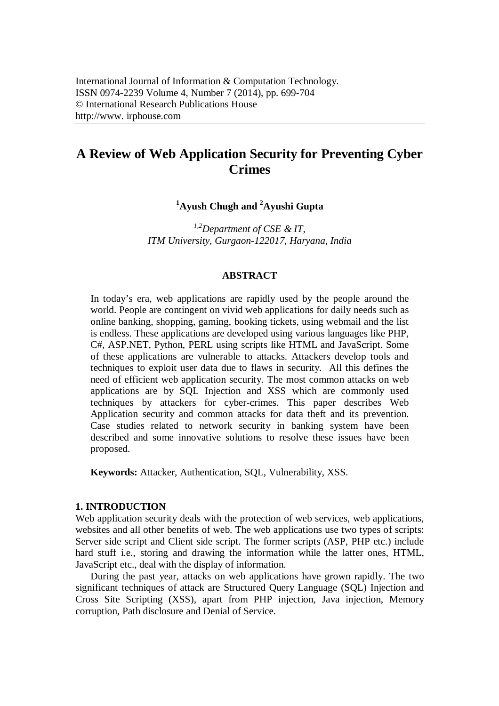# **A Review of Web Application Security for Preventing Cyber Crimes**

**<sup>1</sup>Ayush Chugh and <sup>2</sup>Ayushi Gupta**

*1,2Department of CSE & IT, ITM University, Gurgaon-122017, Haryana, India*

#### **ABSTRACT**

In today's era, web applications are rapidly used by the people around the world. People are contingent on vivid web applications for daily needs such as online banking, shopping, gaming, booking tickets, using webmail and the list is endless. These applications are developed using various languages like PHP, C#, ASP.NET, Python, PERL using scripts like HTML and JavaScript. Some of these applications are vulnerable to attacks. Attackers develop tools and techniques to exploit user data due to flaws in security. All this defines the need of efficient web application security. The most common attacks on web applications are by SQL Injection and XSS which are commonly used techniques by attackers for cyber-crimes. This paper describes Web Application security and common attacks for data theft and its prevention. Case studies related to network security in banking system have been described and some innovative solutions to resolve these issues have been proposed.

**Keywords:** Attacker, Authentication, SQL, Vulnerability, XSS.

#### **1. INTRODUCTION**

Web application security deals with the protection of web services, web applications, websites and all other benefits of web. The web applications use two types of scripts: Server side script and Client side script. The former scripts (ASP, PHP etc.) include hard stuff i.e., storing and drawing the information while the latter ones, HTML, JavaScript etc., deal with the display of information.

During the past year, attacks on web applications have grown rapidly. The two significant techniques of attack are Structured Query Language (SQL) Injection and Cross Site Scripting (XSS), apart from PHP injection, Java injection, Memory corruption, Path disclosure and Denial of Service.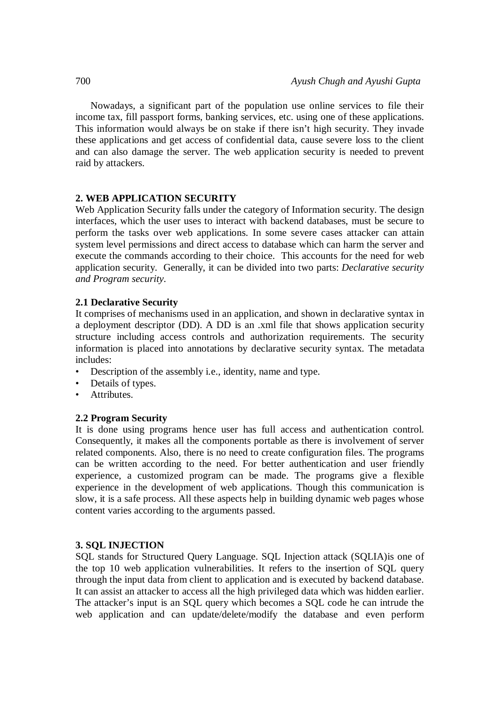Nowadays, a significant part of the population use online services to file their income tax, fill passport forms, banking services, etc. using one of these applications. This information would always be on stake if there isn't high security. They invade these applications and get access of confidential data, cause severe loss to the client and can also damage the server. The web application security is needed to prevent raid by attackers.

# **2. WEB APPLICATION SECURITY**

Web Application Security falls under the category of Information security. The design interfaces, which the user uses to interact with backend databases, must be secure to perform the tasks over web applications. In some severe cases attacker can attain system level permissions and direct access to database which can harm the server and execute the commands according to their choice. This accounts for the need for web application security. Generally, it can be divided into two parts: *Declarative security and Program security*.

# **2.1 Declarative Security**

It comprises of mechanisms used in an application, and shown in declarative syntax in a deployment descriptor (DD). A DD is an .xml file that shows application security structure including access controls and authorization requirements. The security information is placed into annotations by declarative security syntax. The metadata includes:

- Description of the assembly i.e., identity, name and type.
- Details of types.
- Attributes.

### **2.2 Program Security**

It is done using programs hence user has full access and authentication control. Consequently, it makes all the components portable as there is involvement of server related components. Also, there is no need to create configuration files. The programs can be written according to the need. For better authentication and user friendly experience, a customized program can be made. The programs give a flexible experience in the development of web applications. Though this communication is slow, it is a safe process. All these aspects help in building dynamic web pages whose content varies according to the arguments passed.

### **3. SQL INJECTION**

SQL stands for Structured Query Language. SQL Injection attack (SQLIA)is one of the top 10 web application vulnerabilities. It refers to the insertion of SQL query through the input data from client to application and is executed by backend database. It can assist an attacker to access all the high privileged data which was hidden earlier. The attacker's input is an SQL query which becomes a SQL code he can intrude the web application and can update/delete/modify the database and even perform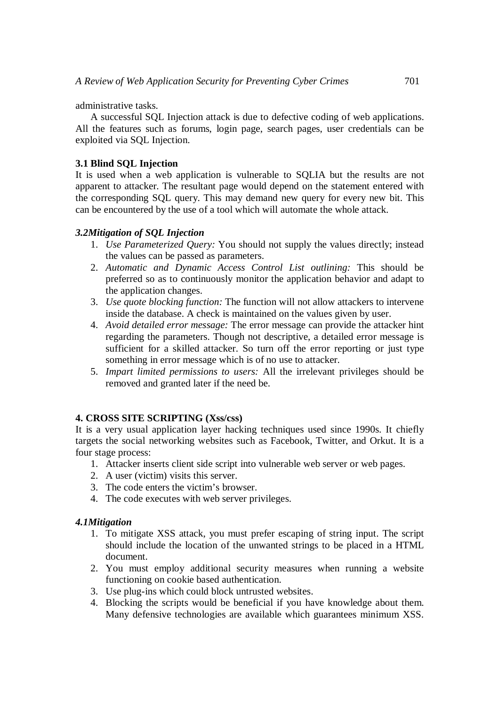administrative tasks.

A successful SQL Injection attack is due to defective coding of web applications. All the features such as forums, login page, search pages, user credentials can be exploited via SQL Injection.

# **3.1 Blind SQL Injection**

It is used when a web application is vulnerable to SQLIA but the results are not apparent to attacker. The resultant page would depend on the statement entered with the corresponding SQL query. This may demand new query for every new bit. This can be encountered by the use of a tool which will automate the whole attack.

# *3.2Mitigation of SQL Injection*

- 1. *Use Parameterized Query:* You should not supply the values directly; instead the values can be passed as parameters.
- 2. *Automatic and Dynamic Access Control List outlining:* This should be preferred so as to continuously monitor the application behavior and adapt to the application changes.
- 3. *Use quote blocking function:* The function will not allow attackers to intervene inside the database. A check is maintained on the values given by user.
- 4. *Avoid detailed error message:* The error message can provide the attacker hint regarding the parameters. Though not descriptive, a detailed error message is sufficient for a skilled attacker. So turn off the error reporting or just type something in error message which is of no use to attacker.
- 5. *Impart limited permissions to users:* All the irrelevant privileges should be removed and granted later if the need be.

# **4. CROSS SITE SCRIPTING (Xss/css)**

It is a very usual application layer hacking techniques used since 1990s. It chiefly targets the social networking websites such as Facebook, Twitter, and Orkut. It is a four stage process:

- 1. Attacker inserts client side script into vulnerable web server or web pages.
- 2. A user (victim) visits this server.
- 3. The code enters the victim's browser.
- 4. The code executes with web server privileges.

# *4.1Mitigation*

- 1. To mitigate XSS attack, you must prefer escaping of string input. The script should include the location of the unwanted strings to be placed in a HTML document.
- 2. You must employ additional security measures when running a website functioning on cookie based authentication.
- 3. Use plug-ins which could block untrusted websites.
- 4. Blocking the scripts would be beneficial if you have knowledge about them. Many defensive technologies are available which guarantees minimum XSS.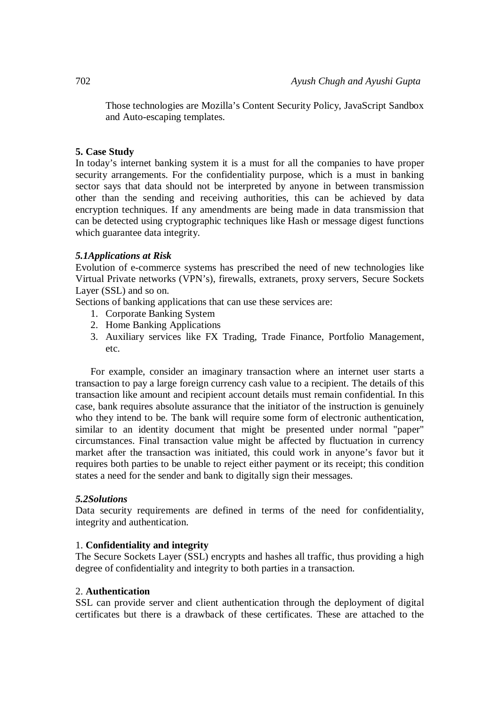Those technologies are Mozilla's Content Security Policy, JavaScript Sandbox and Auto-escaping templates.

### **5. Case Study**

In today's internet banking system it is a must for all the companies to have proper security arrangements. For the confidentiality purpose, which is a must in banking sector says that data should not be interpreted by anyone in between transmission other than the sending and receiving authorities, this can be achieved by data encryption techniques. If any amendments are being made in data transmission that can be detected using cryptographic techniques like Hash or message digest functions which guarantee data integrity.

# *5.1Applications at Risk*

Evolution of e-commerce systems has prescribed the need of new technologies like Virtual Private networks (VPN's), firewalls, extranets, proxy servers, Secure Sockets Layer (SSL) and so on.

Sections of banking applications that can use these services are:

- 1. Corporate Banking System
- 2. Home Banking Applications
- 3. Auxiliary services like FX Trading, Trade Finance, Portfolio Management, etc.

For example, consider an imaginary transaction where an internet user starts a transaction to pay a large foreign currency cash value to a recipient. The details of this transaction like amount and recipient account details must remain confidential. In this case, bank requires absolute assurance that the initiator of the instruction is genuinely who they intend to be. The bank will require some form of electronic authentication, similar to an identity document that might be presented under normal "paper" circumstances. Final transaction value might be affected by fluctuation in currency market after the transaction was initiated, this could work in anyone's favor but it requires both parties to be unable to reject either payment or its receipt; this condition states a need for the sender and bank to digitally sign their messages.

### *5.2Solutions*

Data security requirements are defined in terms of the need for confidentiality, integrity and authentication.

### 1. **Confidentiality and integrity**

The Secure Sockets Layer (SSL) encrypts and hashes all traffic, thus providing a high degree of confidentiality and integrity to both parties in a transaction.

### 2. **Authentication**

SSL can provide server and client authentication through the deployment of digital certificates but there is a drawback of these certificates. These are attached to the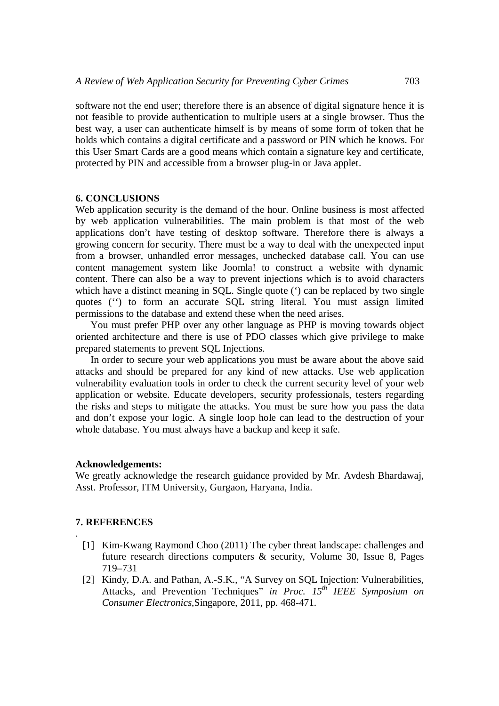software not the end user; therefore there is an absence of digital signature hence it is not feasible to provide authentication to multiple users at a single browser. Thus the best way, a user can authenticate himself is by means of some form of token that he holds which contains a digital certificate and a password or PIN which he knows. For this User Smart Cards are a good means which contain a signature key and certificate, protected by PIN and accessible from a browser plug-in or Java applet.

#### **6. CONCLUSIONS**

Web application security is the demand of the hour. Online business is most affected by web application vulnerabilities. The main problem is that most of the web applications don't have testing of desktop software. Therefore there is always a growing concern for security. There must be a way to deal with the unexpected input from a browser, unhandled error messages, unchecked database call. You can use content management system like Joomla! to construct a website with dynamic content. There can also be a way to prevent injections which is to avoid characters which have a distinct meaning in SQL. Single quote ( $\dot{\ }$ ) can be replaced by two single quotes ('') to form an accurate SQL string literal. You must assign limited permissions to the database and extend these when the need arises.

You must prefer PHP over any other language as PHP is moving towards object oriented architecture and there is use of PDO classes which give privilege to make prepared statements to prevent SQL Injections.

In order to secure your web applications you must be aware about the above said attacks and should be prepared for any kind of new attacks. Use web application vulnerability evaluation tools in order to check the current security level of your web application or website. Educate developers, security professionals, testers regarding the risks and steps to mitigate the attacks. You must be sure how you pass the data and don't expose your logic. A single loop hole can lead to the destruction of your whole database. You must always have a backup and keep it safe.

#### **Acknowledgements:**

We greatly acknowledge the research guidance provided by Mr. Avdesh Bhardawaj, Asst. Professor, ITM University, Gurgaon, Haryana, India.

### **7. REFERENCES**

.

- [1] Kim-Kwang Raymond Choo (2011) The cyber threat landscape: challenges and future research directions computers & security, Volume 30, Issue 8, Pages 719–731
- [2] Kindy, D.A. and Pathan, A.-S.K., "A Survey on SQL Injection: Vulnerabilities, Attacks, and Prevention Techniques" *in Proc. 15th IEEE Symposium on Consumer Electronics*,Singapore, 2011, pp. 468-471.